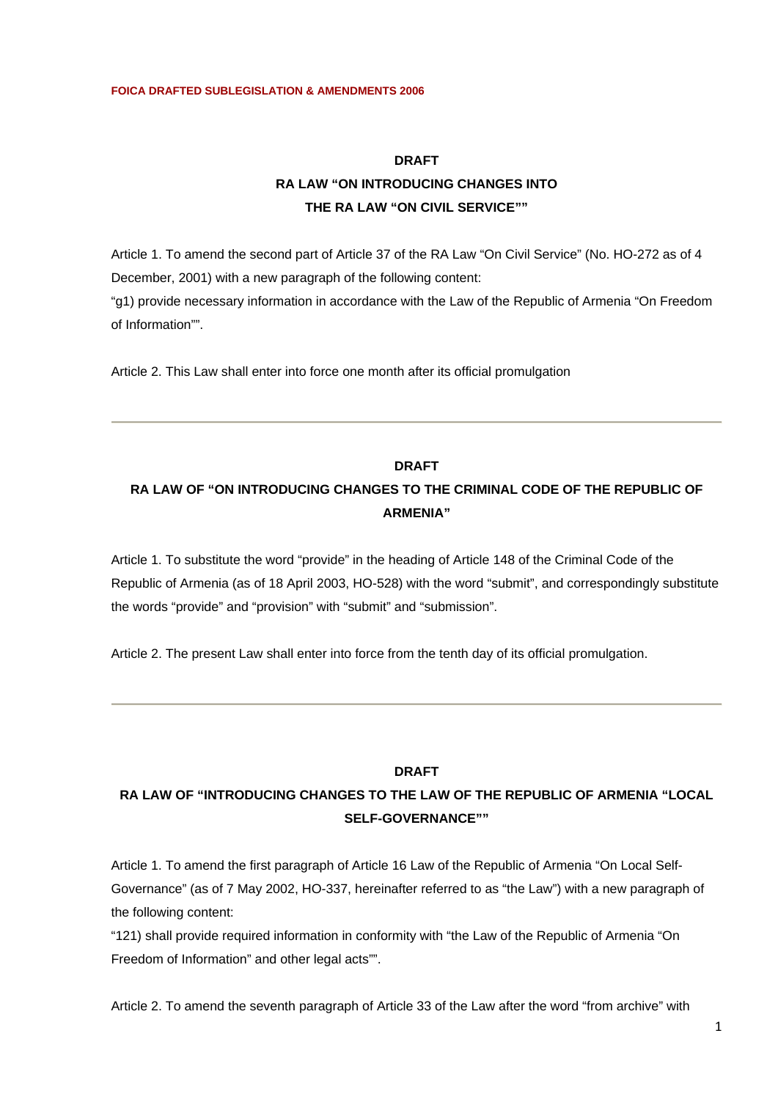# **DRAFT RA LAW "ON INTRODUCING CHANGES INTO THE RA LAW "ON CIVIL SERVICE""**

Article 1. To amend the second part of Article 37 of the RA Law "On Civil Service" (No. HO-272 as of 4 December, 2001) with a new paragraph of the following content: "g1) provide necessary information in accordance with the Law of the Republic of Armenia "On Freedom of Information"".

Article 2. This Law shall enter into force one month after its official promulgation

## **DRAFT**

# **RA LAW OF "ON INTRODUCING CHANGES TO THE CRIMINAL CODE OF THE REPUBLIC OF ARMENIA"**

Article 1. To substitute the word "provide" in the heading of Article 148 of the Criminal Code of the Republic of Armenia (as of 18 April 2003, HO-528) with the word "submit", and correspondingly substitute the words "provide" and "provision" with "submit" and "submission".

Article 2. The present Law shall enter into force from the tenth day of its official promulgation.

#### **DRAFT**

# **RA LAW OF "INTRODUCING CHANGES TO THE LAW OF THE REPUBLIC OF ARMENIA "LOCAL SELF-GOVERNANCE""**

Article 1. To amend the first paragraph of Article 16 Law of the Republic of Armenia "On Local Self-Governance" (as of 7 May 2002, HO-337, hereinafter referred to as "the Law") with a new paragraph of the following content:

"121) shall provide required information in conformity with "the Law of the Republic of Armenia "On Freedom of Information" and other legal acts"".

Article 2. To amend the seventh paragraph of Article 33 of the Law after the word "from archive" with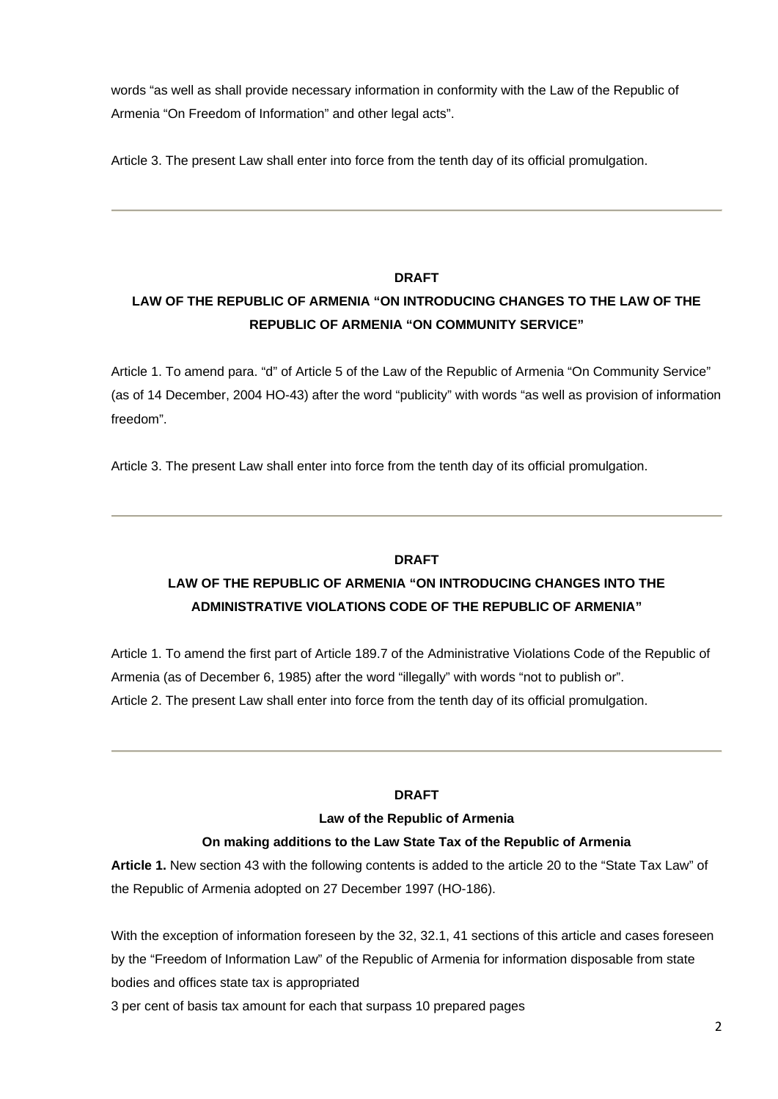words "as well as shall provide necessary information in conformity with the Law of the Republic of Armenia "On Freedom of Information" and other legal acts".

Article 3. The present Law shall enter into force from the tenth day of its official promulgation.

### **DRAFT**

# **LAW OF THE REPUBLIC OF ARMENIA "ON INTRODUCING CHANGES TO THE LAW OF THE REPUBLIC OF ARMENIA "ON COMMUNITY SERVICE"**

Article 1. To amend para. "d" of Article 5 of the Law of the Republic of Armenia "On Community Service" (as of 14 December, 2004 HO-43) after the word "publicity" with words "as well as provision of information freedom".

Article 3. The present Law shall enter into force from the tenth day of its official promulgation.

## **DRAFT**

# **LAW OF THE REPUBLIC OF ARMENIA "ON INTRODUCING CHANGES INTO THE ADMINISTRATIVE VIOLATIONS CODE OF THE REPUBLIC OF ARMENIA"**

Article 1. To amend the first part of Article 189.7 of the Administrative Violations Code of the Republic of Armenia (as of December 6, 1985) after the word "illegally" with words "not to publish or". Article 2. The present Law shall enter into force from the tenth day of its official promulgation.

### **DRAFT**

## **Law of the Republic of Armenia**

## **On making additions to the Law State Tax of the Republic of Armenia**

**Article 1.** New section 43 with the following contents is added to the article 20 to the "State Tax Law" of the Republic of Armenia adopted on 27 December 1997 (HO-186).

With the exception of information foreseen by the 32, 32.1, 41 sections of this article and cases foreseen by the "Freedom of Information Law" of the Republic of Armenia for information disposable from state bodies and offices state tax is appropriated

3 per cent of basis tax amount for each that surpass 10 prepared pages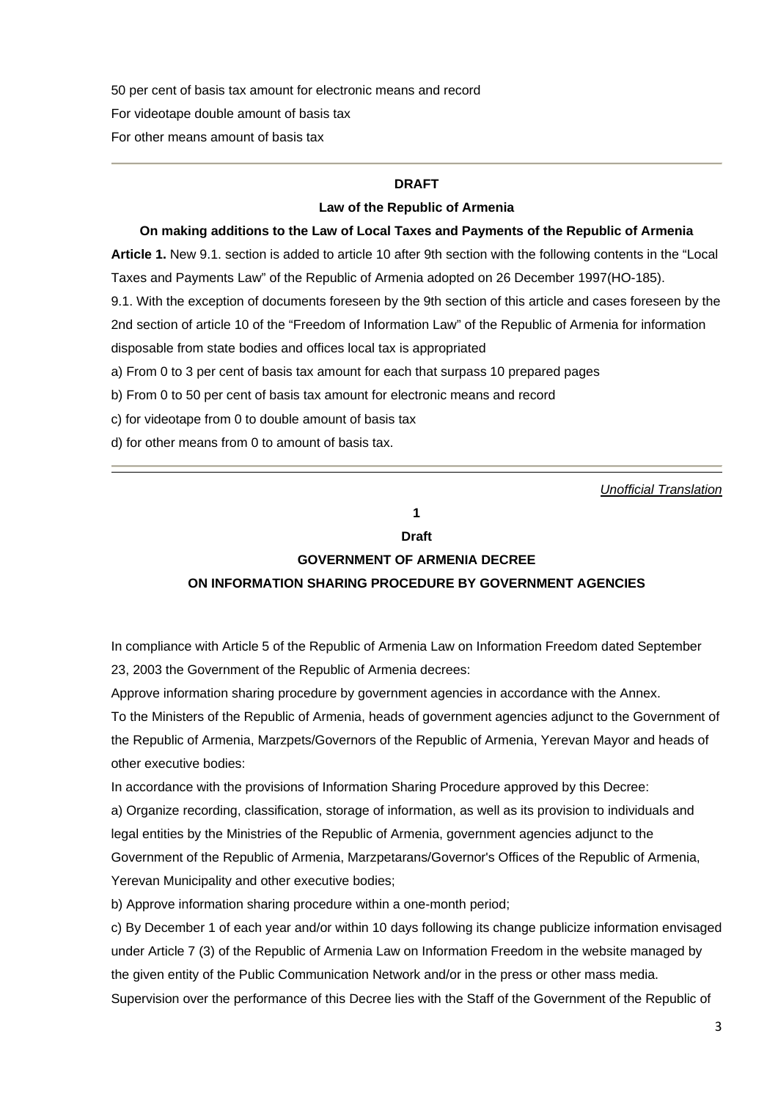50 per cent of basis tax amount for electronic means and record For videotape double amount of basis tax For other means amount of basis tax

## **DRAFT**

#### **Law of the Republic of Armenia**

#### **On making additions to the Law of Local Taxes and Payments of the Republic of Armenia**

**Article 1.** New 9.1. section is added to article 10 after 9th section with the following contents in the "Local

Taxes and Payments Law" of the Republic of Armenia adopted on 26 December 1997(HO-185).

9.1. With the exception of documents foreseen by the 9th section of this article and cases foreseen by the

2nd section of article 10 of the "Freedom of Information Law" of the Republic of Armenia for information

disposable from state bodies and offices local tax is appropriated

a) From 0 to 3 per cent of basis tax amount for each that surpass 10 prepared pages

b) From 0 to 50 per cent of basis tax amount for electronic means and record

c) for videotape from 0 to double amount of basis tax

d) for other means from 0 to amount of basis tax.

*Unofficial Translation*

# **1**

## **Draft**

## **GOVERNMENT OF ARMENIA DECREE**

## **ON INFORMATION SHARING PROCEDURE BY GOVERNMENT AGENCIES**

In compliance with Article 5 of the Republic of Armenia Law on Information Freedom dated September 23, 2003 the Government of the Republic of Armenia decrees:

Approve information sharing procedure by government agencies in accordance with the Annex.

To the Ministers of the Republic of Armenia, heads of government agencies adjunct to the Government of the Republic of Armenia, Marzpets/Governors of the Republic of Armenia, Yerevan Mayor and heads of other executive bodies:

In accordance with the provisions of Information Sharing Procedure approved by this Decree:

a) Organize recording, classification, storage of information, as well as its provision to individuals and legal entities by the Ministries of the Republic of Armenia, government agencies adjunct to the Government of the Republic of Armenia, Marzpetarans/Governor's Offices of the Republic of Armenia, Yerevan Municipality and other executive bodies;

b) Approve information sharing procedure within a one-month period;

c) By December 1 of each year and/or within 10 days following its change publicize information envisaged under Article 7 (3) of the Republic of Armenia Law on Information Freedom in the website managed by the given entity of the Public Communication Network and/or in the press or other mass media. Supervision over the performance of this Decree lies with the Staff of the Government of the Republic of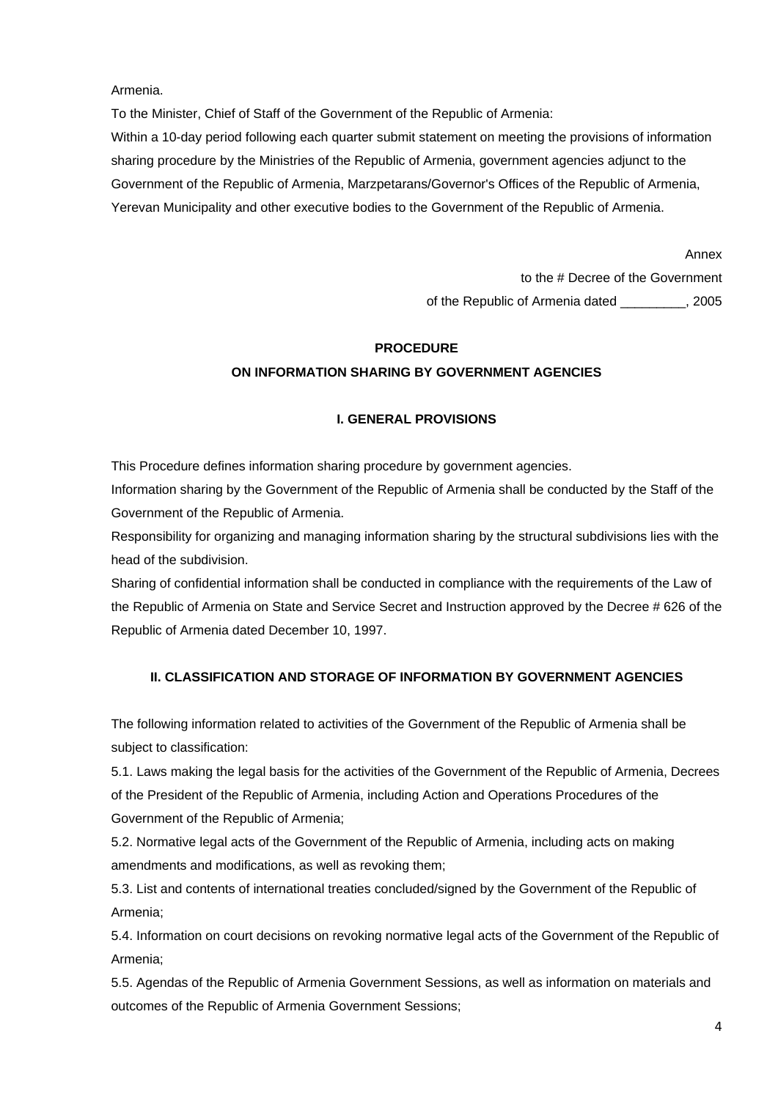Armenia.

To the Minister, Chief of Staff of the Government of the Republic of Armenia:

Within a 10-day period following each quarter submit statement on meeting the provisions of information sharing procedure by the Ministries of the Republic of Armenia, government agencies adjunct to the Government of the Republic of Armenia, Marzpetarans/Governor's Offices of the Republic of Armenia, Yerevan Municipality and other executive bodies to the Government of the Republic of Armenia.

> Annex to the # Decree of the Government of the Republic of Armenia dated \_\_\_\_\_\_\_\_\_, 2005

# **PROCEDURE ON INFORMATION SHARING BY GOVERNMENT AGENCIES**

# **I. GENERAL PROVISIONS**

This Procedure defines information sharing procedure by government agencies.

Information sharing by the Government of the Republic of Armenia shall be conducted by the Staff of the Government of the Republic of Armenia.

Responsibility for organizing and managing information sharing by the structural subdivisions lies with the head of the subdivision.

Sharing of confidential information shall be conducted in compliance with the requirements of the Law of the Republic of Armenia on State and Service Secret and Instruction approved by the Decree # 626 of the Republic of Armenia dated December 10, 1997.

# **II. CLASSIFICATION AND STORAGE OF INFORMATION BY GOVERNMENT AGENCIES**

The following information related to activities of the Government of the Republic of Armenia shall be subject to classification:

5.1. Laws making the legal basis for the activities of the Government of the Republic of Armenia, Decrees of the President of the Republic of Armenia, including Action and Operations Procedures of the Government of the Republic of Armenia;

5.2. Normative legal acts of the Government of the Republic of Armenia, including acts on making amendments and modifications, as well as revoking them;

5.3. List and contents of international treaties concluded/signed by the Government of the Republic of Armenia;

5.4. Information on court decisions on revoking normative legal acts of the Government of the Republic of Armenia;

5.5. Agendas of the Republic of Armenia Government Sessions, as well as information on materials and outcomes of the Republic of Armenia Government Sessions;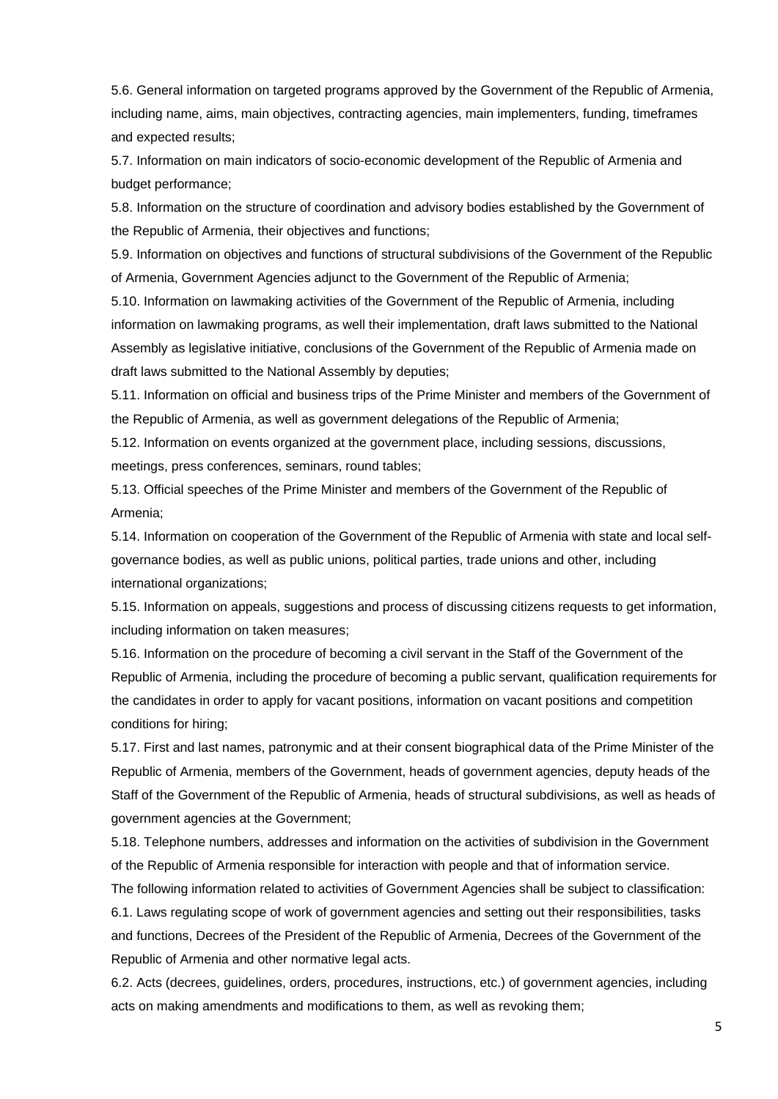5.6. General information on targeted programs approved by the Government of the Republic of Armenia, including name, aims, main objectives, contracting agencies, main implementers, funding, timeframes and expected results;

5.7. Information on main indicators of socio-economic development of the Republic of Armenia and budget performance;

5.8. Information on the structure of coordination and advisory bodies established by the Government of the Republic of Armenia, their objectives and functions;

5.9. Information on objectives and functions of structural subdivisions of the Government of the Republic of Armenia, Government Agencies adjunct to the Government of the Republic of Armenia;

5.10. Information on lawmaking activities of the Government of the Republic of Armenia, including information on lawmaking programs, as well their implementation, draft laws submitted to the National Assembly as legislative initiative, conclusions of the Government of the Republic of Armenia made on draft laws submitted to the National Assembly by deputies;

5.11. Information on official and business trips of the Prime Minister and members of the Government of the Republic of Armenia, as well as government delegations of the Republic of Armenia;

5.12. Information on events organized at the government place, including sessions, discussions, meetings, press conferences, seminars, round tables;

5.13. Official speeches of the Prime Minister and members of the Government of the Republic of Armenia;

5.14. Information on cooperation of the Government of the Republic of Armenia with state and local selfgovernance bodies, as well as public unions, political parties, trade unions and other, including international organizations;

5.15. Information on appeals, suggestions and process of discussing citizens requests to get information, including information on taken measures;

5.16. Information on the procedure of becoming a civil servant in the Staff of the Government of the Republic of Armenia, including the procedure of becoming a public servant, qualification requirements for the candidates in order to apply for vacant positions, information on vacant positions and competition conditions for hiring;

5.17. First and last names, patronymic and at their consent biographical data of the Prime Minister of the Republic of Armenia, members of the Government, heads of government agencies, deputy heads of the Staff of the Government of the Republic of Armenia, heads of structural subdivisions, as well as heads of government agencies at the Government;

5.18. Telephone numbers, addresses and information on the activities of subdivision in the Government of the Republic of Armenia responsible for interaction with people and that of information service.

The following information related to activities of Government Agencies shall be subject to classification: 6.1. Laws regulating scope of work of government agencies and setting out their responsibilities, tasks

and functions, Decrees of the President of the Republic of Armenia, Decrees of the Government of the Republic of Armenia and other normative legal acts.

6.2. Acts (decrees, guidelines, orders, procedures, instructions, etc.) of government agencies, including acts on making amendments and modifications to them, as well as revoking them;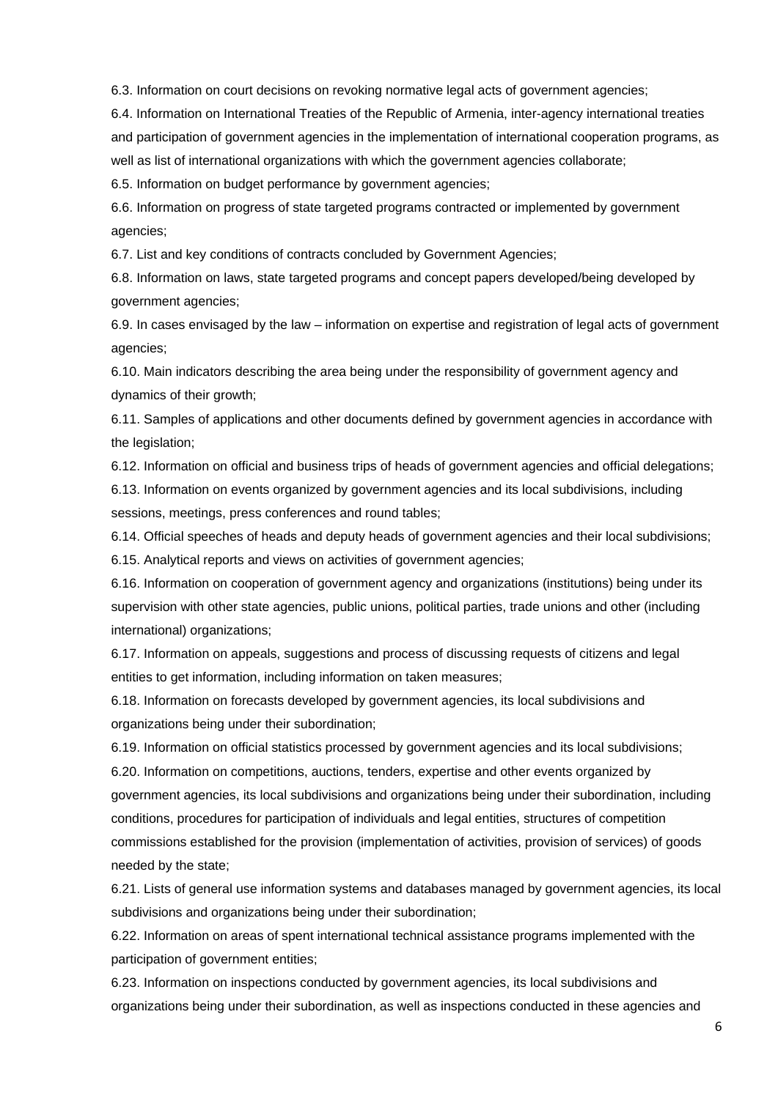6.3. Information on court decisions on revoking normative legal acts of government agencies;

6.4. Information on International Treaties of the Republic of Armenia, inter-agency international treaties and participation of government agencies in the implementation of international cooperation programs, as well as list of international organizations with which the government agencies collaborate;

6.5. Information on budget performance by government agencies;

6.6. Information on progress of state targeted programs contracted or implemented by government agencies;

6.7. List and key conditions of contracts concluded by Government Agencies;

6.8. Information on laws, state targeted programs and concept papers developed/being developed by government agencies;

6.9. In cases envisaged by the law – information on expertise and registration of legal acts of government agencies;

6.10. Main indicators describing the area being under the responsibility of government agency and dynamics of their growth;

6.11. Samples of applications and other documents defined by government agencies in accordance with the legislation;

6.12. Information on official and business trips of heads of government agencies and official delegations;

6.13. Information on events organized by government agencies and its local subdivisions, including sessions, meetings, press conferences and round tables;

6.14. Official speeches of heads and deputy heads of government agencies and their local subdivisions;

6.15. Analytical reports and views on activities of government agencies;

6.16. Information on cooperation of government agency and organizations (institutions) being under its supervision with other state agencies, public unions, political parties, trade unions and other (including international) organizations;

6.17. Information on appeals, suggestions and process of discussing requests of citizens and legal entities to get information, including information on taken measures;

6.18. Information on forecasts developed by government agencies, its local subdivisions and organizations being under their subordination;

6.19. Information on official statistics processed by government agencies and its local subdivisions;

6.20. Information on competitions, auctions, tenders, expertise and other events organized by government agencies, its local subdivisions and organizations being under their subordination, including conditions, procedures for participation of individuals and legal entities, structures of competition commissions established for the provision (implementation of activities, provision of services) of goods needed by the state;

6.21. Lists of general use information systems and databases managed by government agencies, its local subdivisions and organizations being under their subordination;

6.22. Information on areas of spent international technical assistance programs implemented with the participation of government entities;

6.23. Information on inspections conducted by government agencies, its local subdivisions and organizations being under their subordination, as well as inspections conducted in these agencies and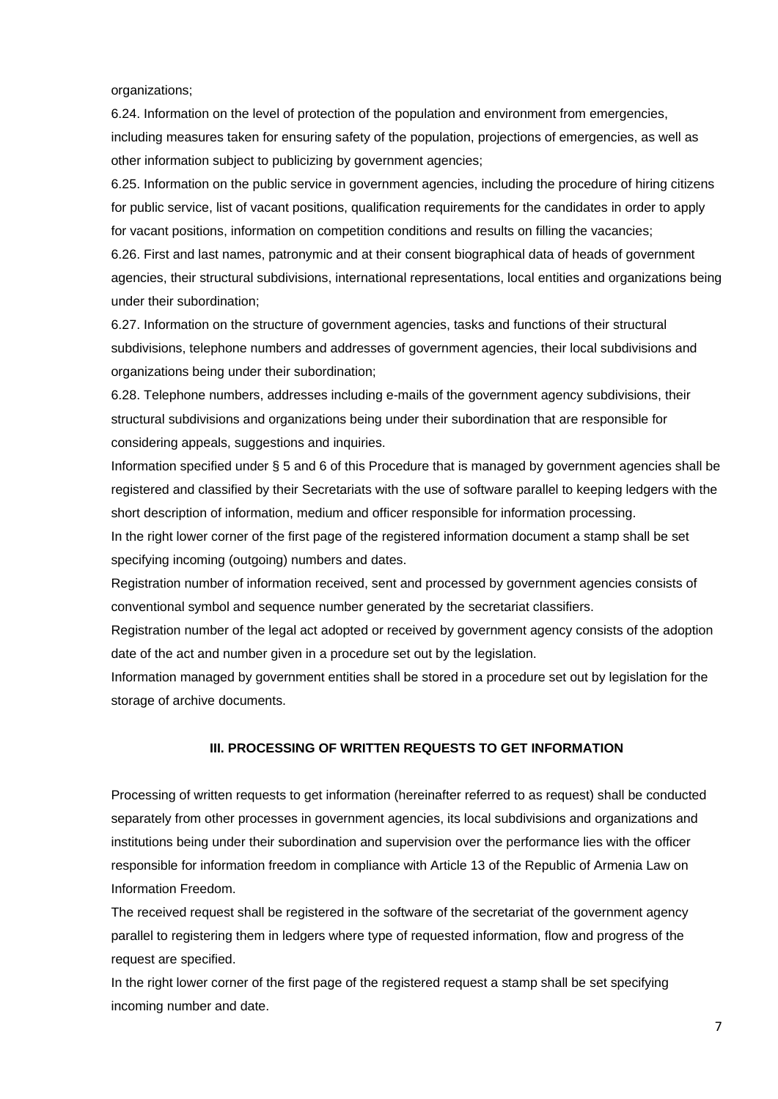organizations;

6.24. Information on the level of protection of the population and environment from emergencies, including measures taken for ensuring safety of the population, projections of emergencies, as well as other information subject to publicizing by government agencies;

6.25. Information on the public service in government agencies, including the procedure of hiring citizens for public service, list of vacant positions, qualification requirements for the candidates in order to apply for vacant positions, information on competition conditions and results on filling the vacancies;

6.26. First and last names, patronymic and at their consent biographical data of heads of government agencies, their structural subdivisions, international representations, local entities and organizations being under their subordination;

6.27. Information on the structure of government agencies, tasks and functions of their structural subdivisions, telephone numbers and addresses of government agencies, their local subdivisions and organizations being under their subordination;

6.28. Telephone numbers, addresses including e-mails of the government agency subdivisions, their structural subdivisions and organizations being under their subordination that are responsible for considering appeals, suggestions and inquiries.

Information specified under § 5 and 6 of this Procedure that is managed by government agencies shall be registered and classified by their Secretariats with the use of software parallel to keeping ledgers with the short description of information, medium and officer responsible for information processing.

In the right lower corner of the first page of the registered information document a stamp shall be set specifying incoming (outgoing) numbers and dates.

Registration number of information received, sent and processed by government agencies consists of conventional symbol and sequence number generated by the secretariat classifiers.

Registration number of the legal act adopted or received by government agency consists of the adoption date of the act and number given in a procedure set out by the legislation.

Information managed by government entities shall be stored in a procedure set out by legislation for the storage of archive documents.

#### **III. PROCESSING OF WRITTEN REQUESTS TO GET INFORMATION**

Processing of written requests to get information (hereinafter referred to as request) shall be conducted separately from other processes in government agencies, its local subdivisions and organizations and institutions being under their subordination and supervision over the performance lies with the officer responsible for information freedom in compliance with Article 13 of the Republic of Armenia Law on Information Freedom.

The received request shall be registered in the software of the secretariat of the government agency parallel to registering them in ledgers where type of requested information, flow and progress of the request are specified.

In the right lower corner of the first page of the registered request a stamp shall be set specifying incoming number and date.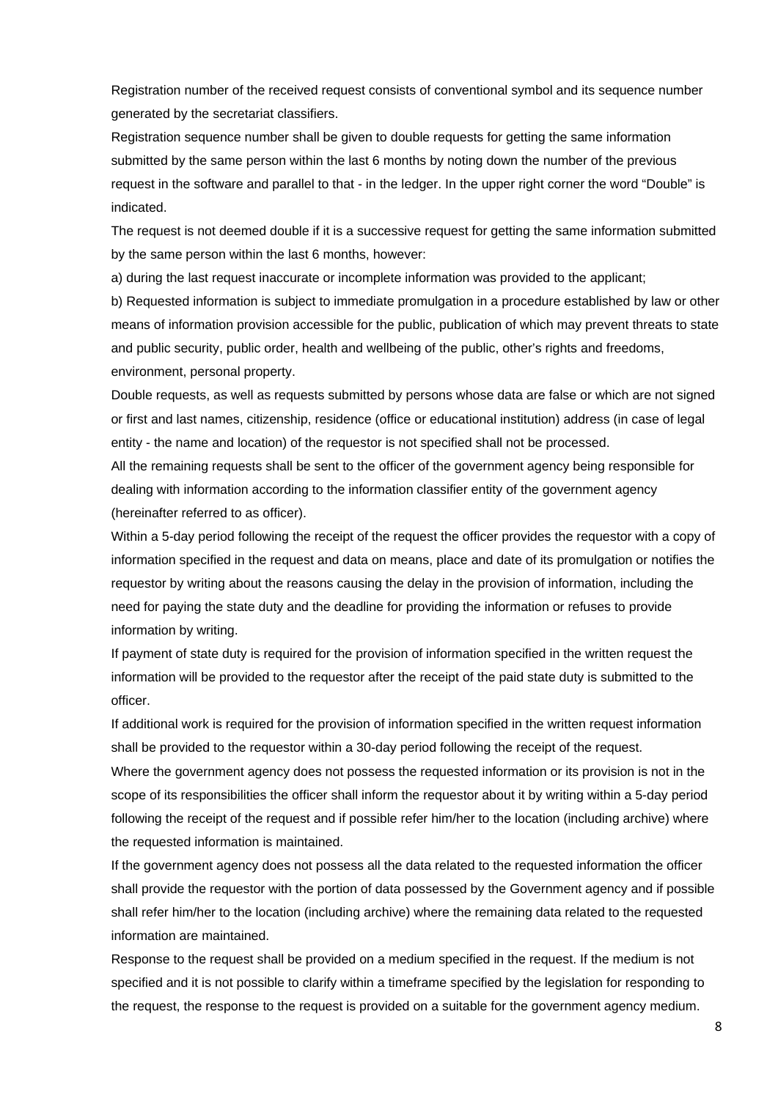Registration number of the received request consists of conventional symbol and its sequence number generated by the secretariat classifiers.

Registration sequence number shall be given to double requests for getting the same information submitted by the same person within the last 6 months by noting down the number of the previous request in the software and parallel to that - in the ledger. In the upper right corner the word "Double" is indicated.

The request is not deemed double if it is a successive request for getting the same information submitted by the same person within the last 6 months, however:

a) during the last request inaccurate or incomplete information was provided to the applicant;

b) Requested information is subject to immediate promulgation in a procedure established by law or other means of information provision accessible for the public, publication of which may prevent threats to state and public security, public order, health and wellbeing of the public, other's rights and freedoms, environment, personal property.

Double requests, as well as requests submitted by persons whose data are false or which are not signed or first and last names, citizenship, residence (office or educational institution) address (in case of legal entity - the name and location) of the requestor is not specified shall not be processed.

All the remaining requests shall be sent to the officer of the government agency being responsible for dealing with information according to the information classifier entity of the government agency (hereinafter referred to as officer).

Within a 5-day period following the receipt of the request the officer provides the requestor with a copy of information specified in the request and data on means, place and date of its promulgation or notifies the requestor by writing about the reasons causing the delay in the provision of information, including the need for paying the state duty and the deadline for providing the information or refuses to provide information by writing.

If payment of state duty is required for the provision of information specified in the written request the information will be provided to the requestor after the receipt of the paid state duty is submitted to the officer.

If additional work is required for the provision of information specified in the written request information shall be provided to the requestor within a 30-day period following the receipt of the request.

Where the government agency does not possess the requested information or its provision is not in the scope of its responsibilities the officer shall inform the requestor about it by writing within a 5-day period following the receipt of the request and if possible refer him/her to the location (including archive) where the requested information is maintained.

If the government agency does not possess all the data related to the requested information the officer shall provide the requestor with the portion of data possessed by the Government agency and if possible shall refer him/her to the location (including archive) where the remaining data related to the requested information are maintained.

Response to the request shall be provided on a medium specified in the request. If the medium is not specified and it is not possible to clarify within a timeframe specified by the legislation for responding to the request, the response to the request is provided on a suitable for the government agency medium.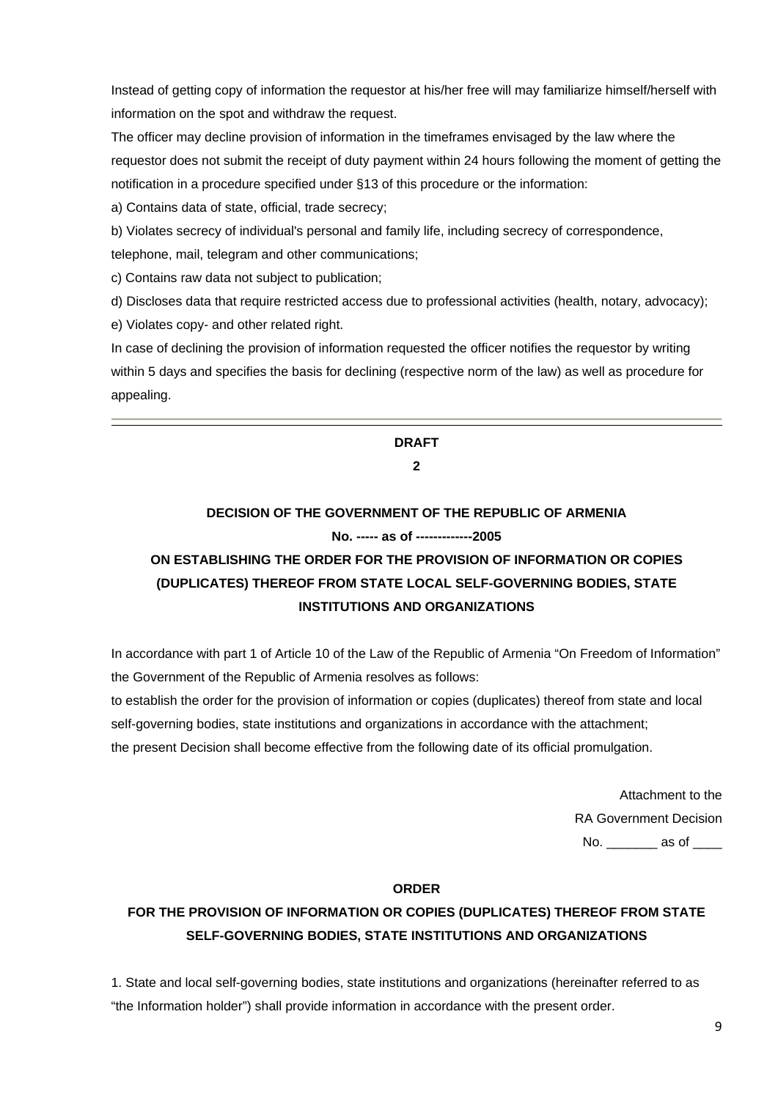Instead of getting copy of information the requestor at his/her free will may familiarize himself/herself with information on the spot and withdraw the request.

The officer may decline provision of information in the timeframes envisaged by the law where the requestor does not submit the receipt of duty payment within 24 hours following the moment of getting the notification in a procedure specified under §13 of this procedure or the information:

a) Contains data of state, official, trade secrecy;

b) Violates secrecy of individual's personal and family life, including secrecy of correspondence, telephone, mail, telegram and other communications;

c) Contains raw data not subject to publication;

d) Discloses data that require restricted access due to professional activities (health, notary, advocacy);

e) Violates copy- and other related right.

In case of declining the provision of information requested the officer notifies the requestor by writing within 5 days and specifies the basis for declining (respective norm of the law) as well as procedure for appealing.

# **DRAFT 2**

# **DECISION OF THE GOVERNMENT OF THE REPUBLIC OF ARMENIA No. ----- as of -------------2005 ON ESTABLISHING THE ORDER FOR THE PROVISION OF INFORMATION OR COPIES**

# **(DUPLICATES) THEREOF FROM STATE LOCAL SELF-GOVERNING BODIES, STATE INSTITUTIONS AND ORGANIZATIONS**

In accordance with part 1 of Article 10 of the Law of the Republic of Armenia "On Freedom of Information" the Government of the Republic of Armenia resolves as follows:

to establish the order for the provision of information or copies (duplicates) thereof from state and local self-governing bodies, state institutions and organizations in accordance with the attachment;

the present Decision shall become effective from the following date of its official promulgation.

Attachment to the RA Government Decision No.  $\qquad \qquad$  as of

# **ORDER**

# **FOR THE PROVISION OF INFORMATION OR COPIES (DUPLICATES) THEREOF FROM STATE SELF-GOVERNING BODIES, STATE INSTITUTIONS AND ORGANIZATIONS**

1. State and local self-governing bodies, state institutions and organizations (hereinafter referred to as "the Information holder") shall provide information in accordance with the present order.